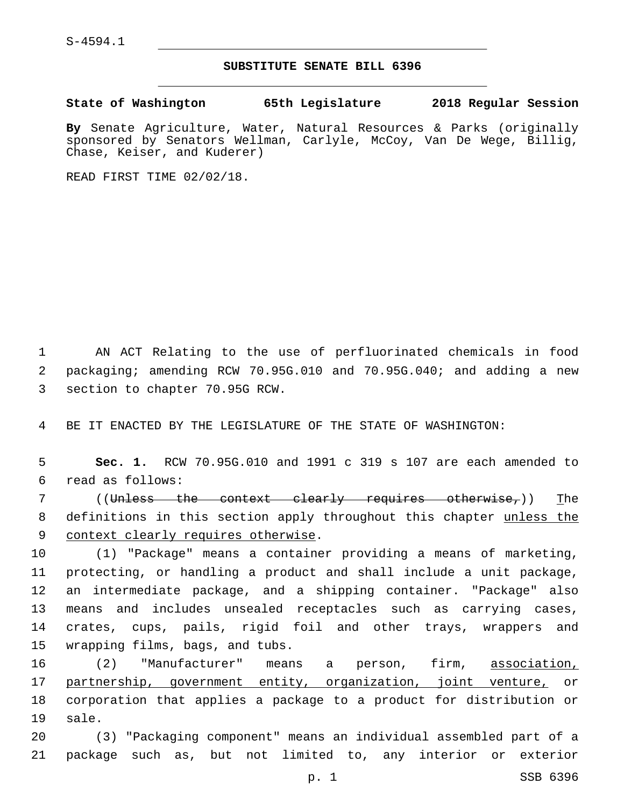S-4594.1

## **SUBSTITUTE SENATE BILL 6396**

**State of Washington 65th Legislature 2018 Regular Session**

**By** Senate Agriculture, Water, Natural Resources & Parks (originally sponsored by Senators Wellman, Carlyle, McCoy, Van De Wege, Billig, Chase, Keiser, and Kuderer)

READ FIRST TIME 02/02/18.

1 AN ACT Relating to the use of perfluorinated chemicals in food 2 packaging; amending RCW 70.95G.010 and 70.95G.040; and adding a new 3 section to chapter 70.95G RCW.

4 BE IT ENACTED BY THE LEGISLATURE OF THE STATE OF WASHINGTON:

5 **Sec. 1.** RCW 70.95G.010 and 1991 c 319 s 107 are each amended to read as follows:6

7 ((Unless the context clearly requires otherwise,)) The 8 definitions in this section apply throughout this chapter unless the 9 context clearly requires otherwise.

 (1) "Package" means a container providing a means of marketing, protecting, or handling a product and shall include a unit package, an intermediate package, and a shipping container. "Package" also means and includes unsealed receptacles such as carrying cases, crates, cups, pails, rigid foil and other trays, wrappers and 15 wrapping films, bags, and tubs.

16 (2) "Manufacturer" means a person, firm, association, 17 partnership, government entity, organization, joint venture, or 18 corporation that applies a package to a product for distribution or 19 sale.

20 (3) "Packaging component" means an individual assembled part of a 21 package such as, but not limited to, any interior or exterior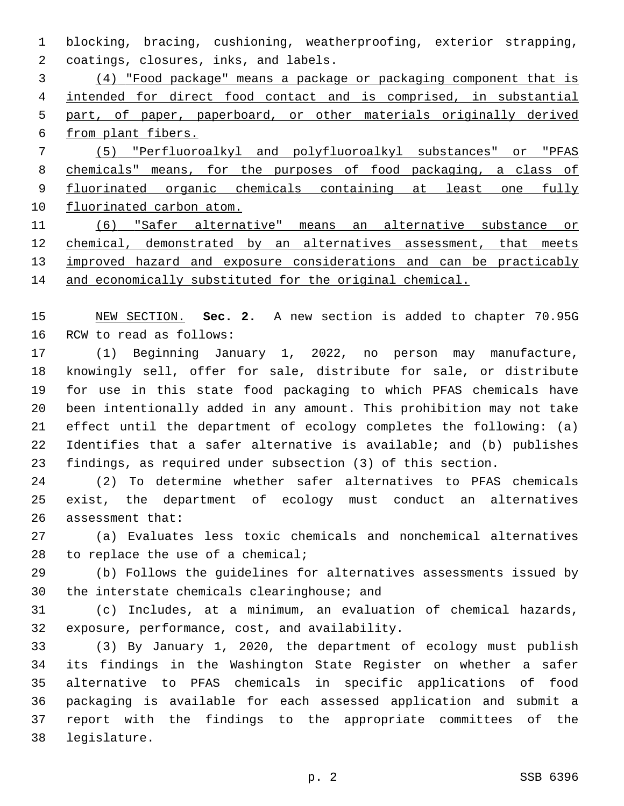blocking, bracing, cushioning, weatherproofing, exterior strapping, coatings, closures, inks, and labels.2

 (4) "Food package" means a package or packaging component that is intended for direct food contact and is comprised, in substantial part, of paper, paperboard, or other materials originally derived from plant fibers. (5) "Perfluoroalkyl and polyfluoroalkyl substances" or "PFAS

 chemicals" means, for the purposes of food packaging, a class of 9 fluorinated organic chemicals containing at least one fully fluorinated carbon atom.

 (6) "Safer alternative" means an alternative substance or chemical, demonstrated by an alternatives assessment, that meets 13 improved hazard and exposure considerations and can be practicably and economically substituted for the original chemical.

 NEW SECTION. **Sec. 2.** A new section is added to chapter 70.95G 16 RCW to read as follows:

 (1) Beginning January 1, 2022, no person may manufacture, knowingly sell, offer for sale, distribute for sale, or distribute for use in this state food packaging to which PFAS chemicals have been intentionally added in any amount. This prohibition may not take effect until the department of ecology completes the following: (a) Identifies that a safer alternative is available; and (b) publishes findings, as required under subsection (3) of this section.

 (2) To determine whether safer alternatives to PFAS chemicals exist, the department of ecology must conduct an alternatives 26 assessment that:

 (a) Evaluates less toxic chemicals and nonchemical alternatives 28 to replace the use of a chemical;

 (b) Follows the guidelines for alternatives assessments issued by 30 the interstate chemicals clearinghouse; and

 (c) Includes, at a minimum, an evaluation of chemical hazards, 32 exposure, performance, cost, and availability.

 (3) By January 1, 2020, the department of ecology must publish its findings in the Washington State Register on whether a safer alternative to PFAS chemicals in specific applications of food packaging is available for each assessed application and submit a report with the findings to the appropriate committees of the 38 legislature.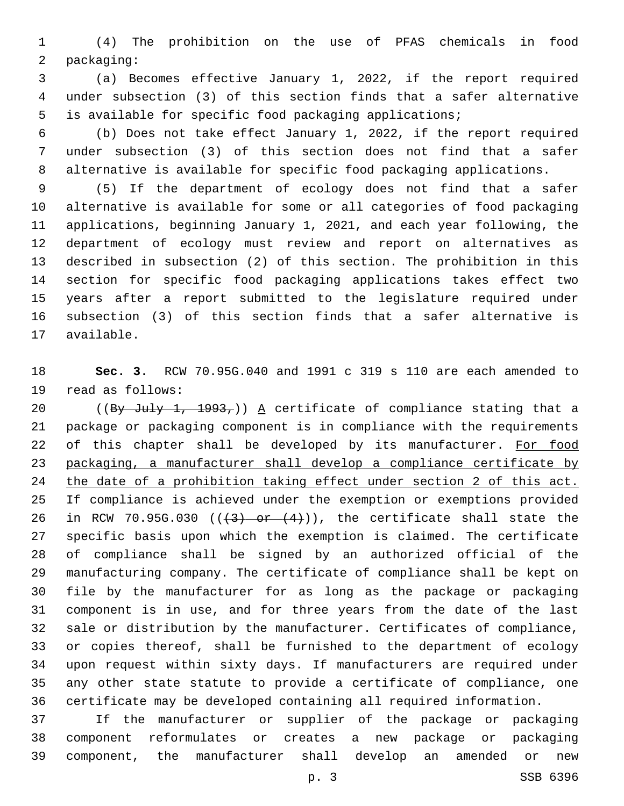(4) The prohibition on the use of PFAS chemicals in food 2 packaging:

 (a) Becomes effective January 1, 2022, if the report required under subsection (3) of this section finds that a safer alternative is available for specific food packaging applications;

 (b) Does not take effect January 1, 2022, if the report required under subsection (3) of this section does not find that a safer alternative is available for specific food packaging applications.

 (5) If the department of ecology does not find that a safer alternative is available for some or all categories of food packaging applications, beginning January 1, 2021, and each year following, the department of ecology must review and report on alternatives as described in subsection (2) of this section. The prohibition in this section for specific food packaging applications takes effect two years after a report submitted to the legislature required under subsection (3) of this section finds that a safer alternative is 17 available.

 **Sec. 3.** RCW 70.95G.040 and 1991 c 319 s 110 are each amended to 19 read as follows:

20 ((By July 1, 1993,)) A certificate of compliance stating that a package or packaging component is in compliance with the requirements 22 of this chapter shall be developed by its manufacturer. For food packaging, a manufacturer shall develop a compliance certificate by the date of a prohibition taking effect under section 2 of this act. If compliance is achieved under the exemption or exemptions provided 26 in RCW 70.95G.030  $((3)$  or  $(4)$ ), the certificate shall state the specific basis upon which the exemption is claimed. The certificate of compliance shall be signed by an authorized official of the manufacturing company. The certificate of compliance shall be kept on file by the manufacturer for as long as the package or packaging component is in use, and for three years from the date of the last sale or distribution by the manufacturer. Certificates of compliance, or copies thereof, shall be furnished to the department of ecology upon request within sixty days. If manufacturers are required under any other state statute to provide a certificate of compliance, one certificate may be developed containing all required information.

 If the manufacturer or supplier of the package or packaging component reformulates or creates a new package or packaging component, the manufacturer shall develop an amended or new